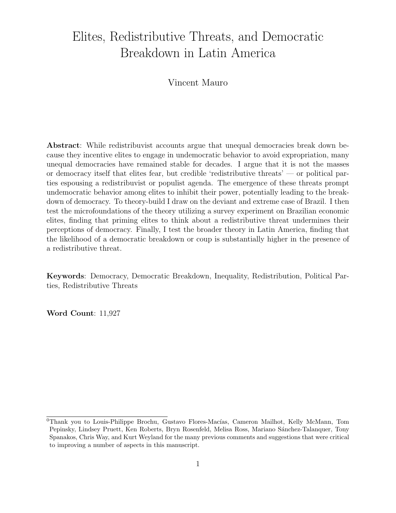# Elites, Redistributive Threats, and Democratic Breakdown in Latin America

Vincent Mauro

Abstract: While redistribuvist accounts argue that unequal democracies break down because they incentive elites to engage in undemocratic behavior to avoid expropriation, many unequal democracies have remained stable for decades. I argue that it is not the masses or democracy itself that elites fear, but credible 'redistributive threats' — or political parties espousing a redistribuvist or populist agenda. The emergence of these threats prompt undemocratic behavior among elites to inhibit their power, potentially leading to the breakdown of democracy. To theory-build I draw on the deviant and extreme case of Brazil. I then test the microfoundations of the theory utilizing a survey experiment on Brazilian economic elites, finding that priming elites to think about a redistributive threat undermines their perceptions of democracy. Finally, I test the broader theory in Latin America, finding that the likelihood of a democratic breakdown or coup is substantially higher in the presence of a redistributive threat.

Keywords: Democracy, Democratic Breakdown, Inequality, Redistribution, Political Parties, Redistributive Threats

Word Count: 11,927

 $0$ Thank you to Louis-Philippe Brochu, Gustavo Flores-Macías, Cameron Mailhot, Kelly McMann, Tom Pepinsky, Lindsey Pruett, Ken Roberts, Bryn Rosenfeld, Melisa Ross, Mariano Sánchez-Talanquer, Tony Spanakos, Chris Way, and Kurt Weyland for the many previous comments and suggestions that were critical to improving a number of aspects in this manuscript.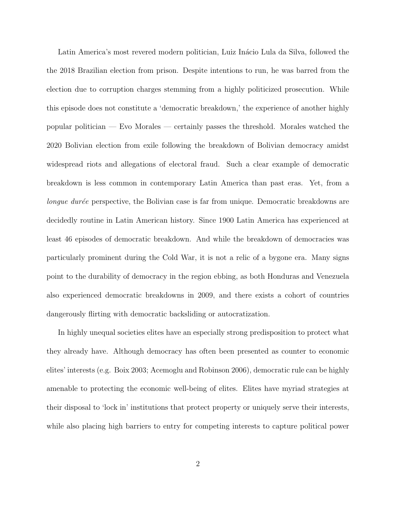Latin America's most revered modern politician, Luiz Inácio Lula da Silva, followed the the 2018 Brazilian election from prison. Despite intentions to run, he was barred from the election due to corruption charges stemming from a highly politicized prosecution. While this episode does not constitute a 'democratic breakdown,' the experience of another highly popular politician — Evo Morales — certainly passes the threshold. Morales watched the 2020 Bolivian election from exile following the breakdown of Bolivian democracy amidst widespread riots and allegations of electoral fraud. Such a clear example of democratic breakdown is less common in contemporary Latin America than past eras. Yet, from a longue durée perspective, the Bolivian case is far from unique. Democratic breakdowns are decidedly routine in Latin American history. Since 1900 Latin America has experienced at least 46 episodes of democratic breakdown. And while the breakdown of democracies was particularly prominent during the Cold War, it is not a relic of a bygone era. Many signs point to the durability of democracy in the region ebbing, as both Honduras and Venezuela also experienced democratic breakdowns in 2009, and there exists a cohort of countries dangerously flirting with democratic backsliding or autocratization.

In highly unequal societies elites have an especially strong predisposition to protect what they already have. Although democracy has often been presented as counter to economic elites' interests (e.g. Boix 2003; Acemoglu and Robinson 2006), democratic rule can be highly amenable to protecting the economic well-being of elites. Elites have myriad strategies at their disposal to 'lock in' institutions that protect property or uniquely serve their interests, while also placing high barriers to entry for competing interests to capture political power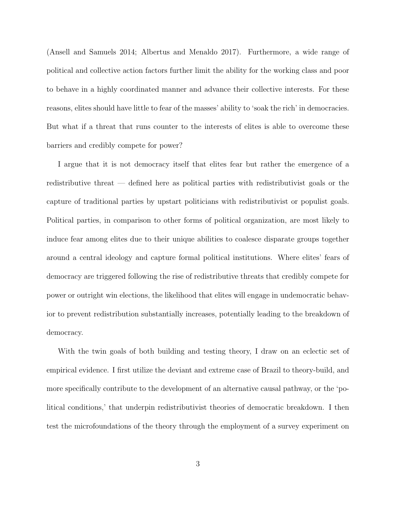(Ansell and Samuels 2014; Albertus and Menaldo 2017). Furthermore, a wide range of political and collective action factors further limit the ability for the working class and poor to behave in a highly coordinated manner and advance their collective interests. For these reasons, elites should have little to fear of the masses' ability to 'soak the rich' in democracies. But what if a threat that runs counter to the interests of elites is able to overcome these barriers and credibly compete for power?

I argue that it is not democracy itself that elites fear but rather the emergence of a redistributive threat — defined here as political parties with redistributivist goals or the capture of traditional parties by upstart politicians with redistributivist or populist goals. Political parties, in comparison to other forms of political organization, are most likely to induce fear among elites due to their unique abilities to coalesce disparate groups together around a central ideology and capture formal political institutions. Where elites' fears of democracy are triggered following the rise of redistributive threats that credibly compete for power or outright win elections, the likelihood that elites will engage in undemocratic behavior to prevent redistribution substantially increases, potentially leading to the breakdown of democracy.

With the twin goals of both building and testing theory, I draw on an eclectic set of empirical evidence. I first utilize the deviant and extreme case of Brazil to theory-build, and more specifically contribute to the development of an alternative causal pathway, or the 'political conditions,' that underpin redistributivist theories of democratic breakdown. I then test the microfoundations of the theory through the employment of a survey experiment on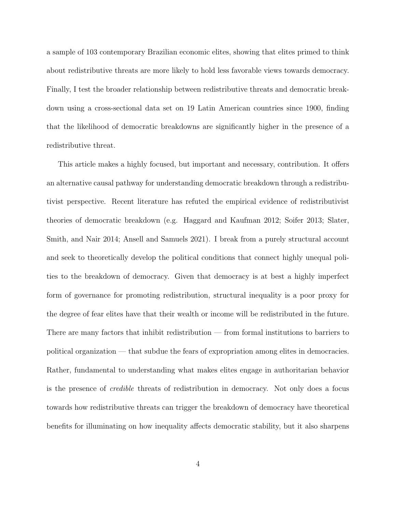a sample of 103 contemporary Brazilian economic elites, showing that elites primed to think about redistributive threats are more likely to hold less favorable views towards democracy. Finally, I test the broader relationship between redistributive threats and democratic breakdown using a cross-sectional data set on 19 Latin American countries since 1900, finding that the likelihood of democratic breakdowns are significantly higher in the presence of a redistributive threat.

This article makes a highly focused, but important and necessary, contribution. It offers an alternative causal pathway for understanding democratic breakdown through a redistributivist perspective. Recent literature has refuted the empirical evidence of redistributivist theories of democratic breakdown (e.g. Haggard and Kaufman 2012; Soifer 2013; Slater, Smith, and Nair 2014; Ansell and Samuels 2021). I break from a purely structural account and seek to theoretically develop the political conditions that connect highly unequal polities to the breakdown of democracy. Given that democracy is at best a highly imperfect form of governance for promoting redistribution, structural inequality is a poor proxy for the degree of fear elites have that their wealth or income will be redistributed in the future. There are many factors that inhibit redistribution — from formal institutions to barriers to political organization — that subdue the fears of expropriation among elites in democracies. Rather, fundamental to understanding what makes elites engage in authoritarian behavior is the presence of credible threats of redistribution in democracy. Not only does a focus towards how redistributive threats can trigger the breakdown of democracy have theoretical benefits for illuminating on how inequality affects democratic stability, but it also sharpens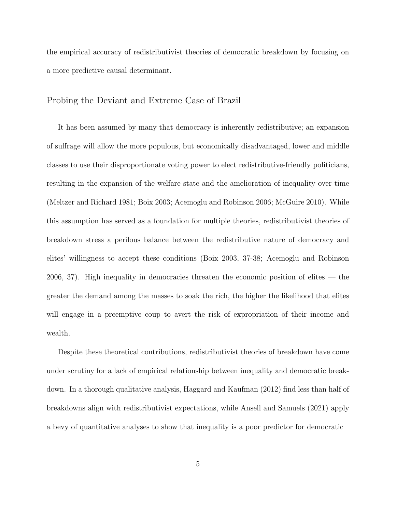the empirical accuracy of redistributivist theories of democratic breakdown by focusing on a more predictive causal determinant.

### Probing the Deviant and Extreme Case of Brazil

It has been assumed by many that democracy is inherently redistributive; an expansion of suffrage will allow the more populous, but economically disadvantaged, lower and middle classes to use their disproportionate voting power to elect redistributive-friendly politicians, resulting in the expansion of the welfare state and the amelioration of inequality over time (Meltzer and Richard 1981; Boix 2003; Acemoglu and Robinson 2006; McGuire 2010). While this assumption has served as a foundation for multiple theories, redistributivist theories of breakdown stress a perilous balance between the redistributive nature of democracy and elites' willingness to accept these conditions (Boix 2003, 37-38; Acemoglu and Robinson 2006, 37). High inequality in democracies threaten the economic position of elites  $-$  the greater the demand among the masses to soak the rich, the higher the likelihood that elites will engage in a preemptive coup to avert the risk of expropriation of their income and wealth.

Despite these theoretical contributions, redistributivist theories of breakdown have come under scrutiny for a lack of empirical relationship between inequality and democratic breakdown. In a thorough qualitative analysis, Haggard and Kaufman (2012) find less than half of breakdowns align with redistributivist expectations, while Ansell and Samuels (2021) apply a bevy of quantitative analyses to show that inequality is a poor predictor for democratic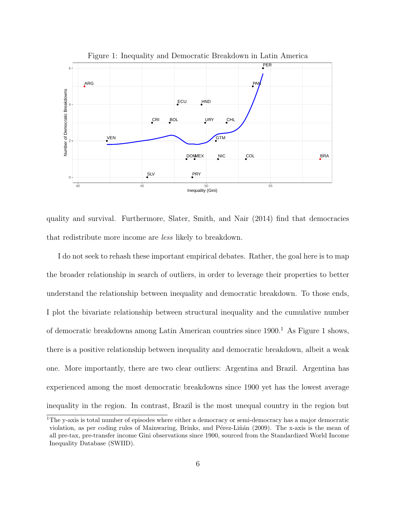

quality and survival. Furthermore, Slater, Smith, and Nair (2014) find that democracies that redistribute more income are less likely to breakdown.

I do not seek to rehash these important empirical debates. Rather, the goal here is to map the broader relationship in search of outliers, in order to leverage their properties to better understand the relationship between inequality and democratic breakdown. To those ends, I plot the bivariate relationship between structural inequality and the cumulative number of democratic breakdowns among Latin American countries since  $1900<sup>1</sup>$  As Figure 1 shows, there is a positive relationship between inequality and democratic breakdown, albeit a weak one. More importantly, there are two clear outliers: Argentina and Brazil. Argentina has experienced among the most democratic breakdowns since 1900 yet has the lowest average inequality in the region. In contrast, Brazil is the most unequal country in the region but

<sup>&</sup>lt;sup>1</sup>The y-axis is total number of episodes where either a democracy or semi-democracy has a major democratic violation, as per coding rules of Mainwaring, Brinks, and Pérez-Liñán (2009). The x-axis is the mean of all pre-tax, pre-transfer income Gini observations since 1900, sourced from the Standardized World Income Inequality Database (SWIID).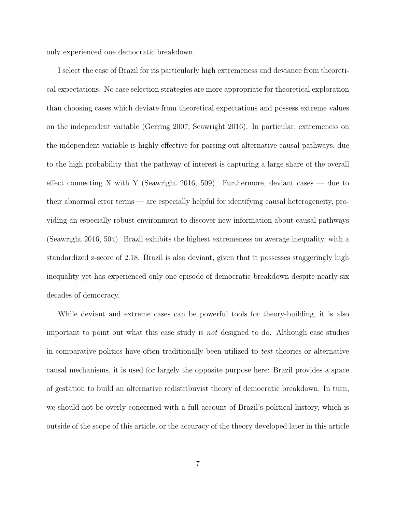only experienced one democratic breakdown.

I select the case of Brazil for its particularly high extremeness and deviance from theoretical expectations. No case selection strategies are more appropriate for theoretical exploration than choosing cases which deviate from theoretical expectations and possess extreme values on the independent variable (Gerring 2007; Seawright 2016). In particular, extremeness on the independent variable is highly effective for parsing out alternative causal pathways, due to the high probability that the pathway of interest is capturing a large share of the overall effect connecting X with Y (Seawright 2016, 509). Furthermore, deviant cases — due to their abnormal error terms — are especially helpful for identifying causal heterogeneity, providing an especially robust environment to discover new information about causal pathways (Seawright 2016, 504). Brazil exhibits the highest extremeness on average inequality, with a standardized z-score of 2.18. Brazil is also deviant, given that it possesses staggeringly high inequality yet has experienced only one episode of democratic breakdown despite nearly six decades of democracy.

While deviant and extreme cases can be powerful tools for theory-building, it is also important to point out what this case study is not designed to do. Although case studies in comparative politics have often traditionally been utilized to test theories or alternative causal mechanisms, it is used for largely the opposite purpose here: Brazil provides a space of gestation to build an alternative redistribuvist theory of democratic breakdown. In turn, we should not be overly concerned with a full account of Brazil's political history, which is outside of the scope of this article, or the accuracy of the theory developed later in this article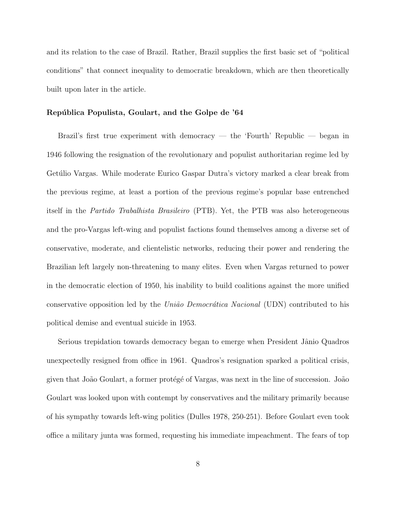and its relation to the case of Brazil. Rather, Brazil supplies the first basic set of "political conditions" that connect inequality to democratic breakdown, which are then theoretically built upon later in the article.

#### República Populista, Goulart, and the Golpe de '64

Brazil's first true experiment with democracy — the 'Fourth' Republic — began in 1946 following the resignation of the revolutionary and populist authoritarian regime led by Getúlio Vargas. While moderate Eurico Gaspar Dutra's victory marked a clear break from the previous regime, at least a portion of the previous regime's popular base entrenched itself in the Partido Trabalhista Brasileiro (PTB). Yet, the PTB was also heterogeneous and the pro-Vargas left-wing and populist factions found themselves among a diverse set of conservative, moderate, and clientelistic networks, reducing their power and rendering the Brazilian left largely non-threatening to many elites. Even when Vargas returned to power in the democratic election of 1950, his inability to build coalitions against the more unified conservative opposition led by the União Democrática Nacional (UDN) contributed to his political demise and eventual suicide in 1953.

Serious trepidation towards democracy began to emerge when President Jânio Quadros unexpectedly resigned from office in 1961. Quadros's resignation sparked a political crisis, given that João Goulart, a former protégé of Vargas, was next in the line of succession. João Goulart was looked upon with contempt by conservatives and the military primarily because of his sympathy towards left-wing politics (Dulles 1978, 250-251). Before Goulart even took office a military junta was formed, requesting his immediate impeachment. The fears of top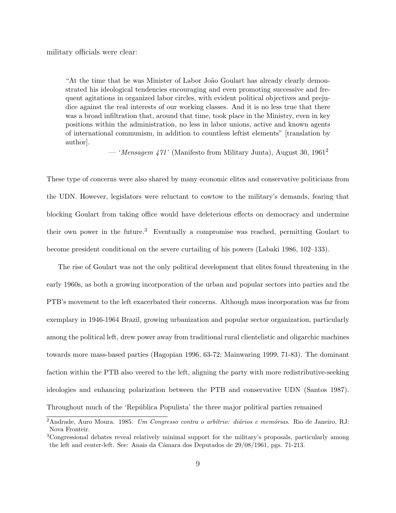military officials were clear:

"At the time that he was Minister of Labor João Goulart has already clearly demonstrated his ideological tendencies encouraging and even promoting successive and frequent agitations in organized labor circles, with evident political objectives and prejudice against the real interests of our working classes. And it is no less true that there was a broad infiltration that, around that time, took place in the Ministry, even in key positions within the administration, no less in labor unions, active and known agents of international communism, in addition to countless leftist elements" [translation by author].

— 'Mensagem 471' (Manifesto from Military Junta), August 30, 1961<sup>2</sup>

These type of concerns were also shared by many economic elites and conservative politicians from the UDN. However, legislators were reluctant to cowtow to the military's demands, fearing that blocking Goulart from taking office would have deleterious effects on democracy and undermine their own power in the future.<sup>3</sup> Eventually a compromise was reached, permitting Goulart to become president conditional on the severe curtailing of his powers (Labaki 1986, 102–133).

The rise of Goulart was not the only political development that elites found threatening in the early 1960s, as both a growing incorporation of the urban and popular sectors into parties and the PTB's movement to the left exacerbated their concerns. Although mass incorporation was far from exemplary in 1946-1964 Brazil, growing urbanization and popular sector organization, particularly among the political left, drew power away from traditional rural clientelistic and oligarchic machines towards more mass-based parties (Hagopian 1996, 63-72; Mainwaring 1999, 71-83). The dominant faction within the PTB also veered to the left, aligning the party with more redistributive-seeking ideologies and enhancing polarization between the PTB and conservative UDN (Santos 1987). Throughout much of the 'República Populista' the three major political parties remained

 $2Andrade$ , Auro Moura. 1985. Um Congresso contra o arbítrio: diários e memórias. Rio de Janeiro, RJ: Nova Fronteir.

<sup>3</sup>Congressional debates reveal relatively minimal support for the military's proposals, particularly among the left and center-left. See: Anais da Câmara dos Deputados de 29/08/1961, pgs. 71-213.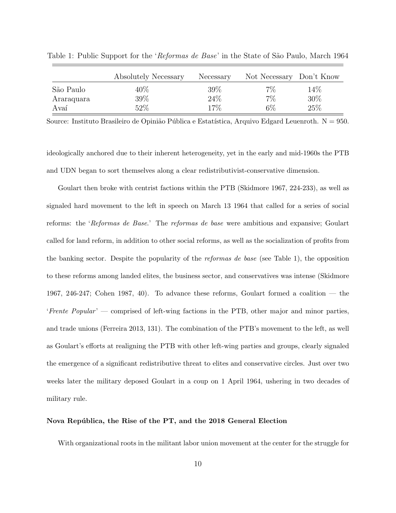|            | Absolutely Necessary | Necessary | Not Necessary Don't Know |        |
|------------|----------------------|-----------|--------------------------|--------|
| São Paulo  | $40\%$               | 39%       | $7\%$                    | $14\%$ |
| Araraquara | 39%                  | 24\%      | 7%                       | 30%    |
| Avaí       | 52%                  | 17%       | 6%                       | 25%    |

Table 1: Public Support for the 'Reformas de Base' in the State of São Paulo, March 1964

Source: Instituto Brasileiro de Opinião Pública e Estatística, Arquivo Edgard Leuenroth.  $N = 950$ .

ideologically anchored due to their inherent heterogeneity, yet in the early and mid-1960s the PTB and UDN began to sort themselves along a clear redistributivist-conservative dimension.

Goulart then broke with centrist factions within the PTB (Skidmore 1967, 224-233), as well as signaled hard movement to the left in speech on March 13 1964 that called for a series of social reforms: the 'Reformas de Base.' The reformas de base were ambitious and expansive; Goulart called for land reform, in addition to other social reforms, as well as the socialization of profits from the banking sector. Despite the popularity of the reformas de base (see Table 1), the opposition to these reforms among landed elites, the business sector, and conservatives was intense (Skidmore 1967, 246-247; Cohen 1987, 40). To advance these reforms, Goulart formed a coalition — the 'Frente Popular' — comprised of left-wing factions in the PTB, other major and minor parties, and trade unions (Ferreira 2013, 131). The combination of the PTB's movement to the left, as well as Goulart's efforts at realigning the PTB with other left-wing parties and groups, clearly signaled the emergence of a significant redistributive threat to elites and conservative circles. Just over two weeks later the military deposed Goulart in a coup on 1 April 1964, ushering in two decades of military rule.

#### Nova República, the Rise of the PT, and the 2018 General Election

With organizational roots in the militant labor union movement at the center for the struggle for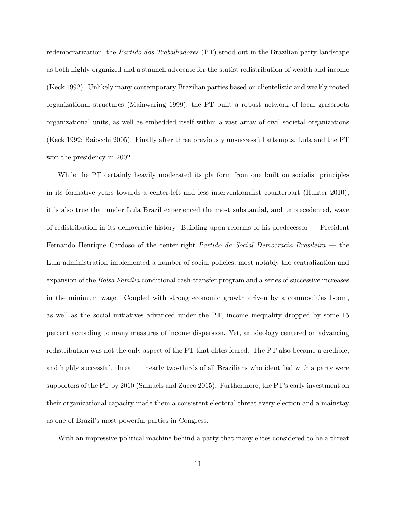redemocratization, the Partido dos Trabalhadores (PT) stood out in the Brazilian party landscape as both highly organized and a staunch advocate for the statist redistribution of wealth and income (Keck 1992). Unlikely many contemporary Brazilian parties based on clientelistic and weakly rooted organizational structures (Mainwaring 1999), the PT built a robust network of local grassroots organizational units, as well as embedded itself within a vast array of civil societal organizations (Keck 1992; Baiocchi 2005). Finally after three previously unsuccessful attempts, Lula and the PT won the presidency in 2002.

While the PT certainly heavily moderated its platform from one built on socialist principles in its formative years towards a center-left and less interventionalist counterpart (Hunter 2010), it is also true that under Lula Brazil experienced the most substantial, and unprecedented, wave of redistribution in its democratic history. Building upon reforms of his predecessor — President Fernando Henrique Cardoso of the center-right Partido da Social Democracia Brasileira — the Lula administration implemented a number of social policies, most notably the centralization and expansion of the *Bolsa Família* conditional cash-transfer program and a series of successive increases in the minimum wage. Coupled with strong economic growth driven by a commodities boom, as well as the social initiatives advanced under the PT, income inequality dropped by some 15 percent according to many measures of income dispersion. Yet, an ideology centered on advancing redistribution was not the only aspect of the PT that elites feared. The PT also became a credible, and highly successful, threat — nearly two-thirds of all Brazilians who identified with a party were supporters of the PT by 2010 (Samuels and Zucco 2015). Furthermore, the PT's early investment on their organizational capacity made them a consistent electoral threat every election and a mainstay as one of Brazil's most powerful parties in Congress.

With an impressive political machine behind a party that many elites considered to be a threat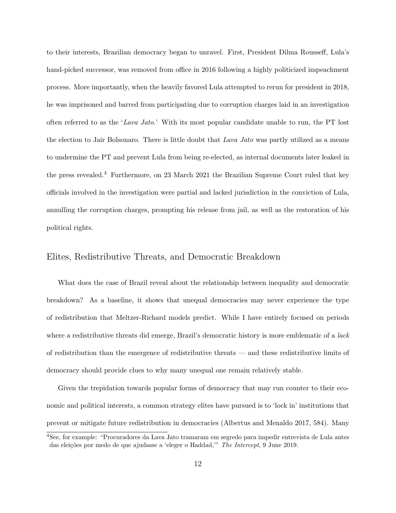to their interests, Brazilian democracy began to unravel. First, President Dilma Rousseff, Lula's hand-picked successor, was removed from office in 2016 following a highly politicized impeachment process. More importantly, when the heavily favored Lula attempted to rerun for president in 2018, he was imprisoned and barred from participating due to corruption charges laid in an investigation often referred to as the 'Lava Jato.' With its most popular candidate unable to run, the PT lost the election to Jair Bolsonaro. There is little doubt that Lava Jato was partly utilized as a means to undermine the PT and prevent Lula from being re-elected, as internal documents later leaked in the press revealed.<sup>4</sup> Furthermore, on 23 March 2021 the Brazilian Supreme Court ruled that key officials involved in the investigation were partial and lacked jurisdiction in the conviction of Lula, annulling the corruption charges, prompting his release from jail, as well as the restoration of his political rights.

## Elites, Redistributive Threats, and Democratic Breakdown

What does the case of Brazil reveal about the relationship between inequality and democratic breakdown? As a baseline, it shows that unequal democracies may never experience the type of redistribution that Meltzer-Richard models predict. While I have entirely focused on periods where a redistributive threats did emerge, Brazil's democratic history is more emblematic of a *lack* of redistribution than the emergence of redistributive threats — and these redistributive limits of democracy should provide clues to why many unequal one remain relatively stable.

Given the trepidation towards popular forms of democracy that may run counter to their economic and political interests, a common strategy elites have pursued is to 'lock in' institutions that prevent or mitigate future redistribution in democracies (Albertus and Menaldo 2017, 584). Many

<sup>4</sup>See, for example: "Procuradores da Lava Jato tramaram em segredo para impedir entrevista de Lula antes das eleições por medo de que ajudasse a 'eleger o Haddad," The Intercept, 9 June 2019.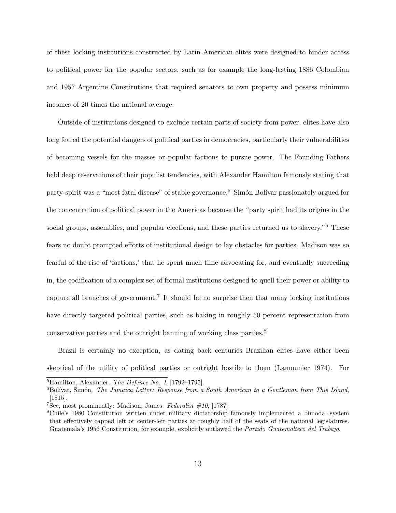of these locking institutions constructed by Latin American elites were designed to hinder access to political power for the popular sectors, such as for example the long-lasting 1886 Colombian and 1957 Argentine Constitutions that required senators to own property and possess minimum incomes of 20 times the national average.

Outside of institutions designed to exclude certain parts of society from power, elites have also long feared the potential dangers of political parties in democracies, particularly their vulnerabilities of becoming vessels for the masses or popular factions to pursue power. The Founding Fathers held deep reservations of their populist tendencies, with Alexander Hamilton famously stating that party-spirit was a "most fatal disease" of stable governance.<sup>5</sup> Simón Bolívar passionately argued for the concentration of political power in the Americas because the "party spirit had its origins in the social groups, assemblies, and popular elections, and these parties returned us to slavery."<sup>6</sup> These fears no doubt prompted efforts of institutional design to lay obstacles for parties. Madison was so fearful of the rise of 'factions,' that he spent much time advocating for, and eventually succeeding in, the codification of a complex set of formal institutions designed to quell their power or ability to capture all branches of government.<sup>7</sup> It should be no surprise then that many locking institutions have directly targeted political parties, such as baking in roughly 50 percent representation from conservative parties and the outright banning of working class parties.<sup>8</sup>

Brazil is certainly no exception, as dating back centuries Brazilian elites have either been skeptical of the utility of political parties or outright hostile to them (Lamounier 1974). For

 ${}^{5}$ Hamilton, Alexander. *The Defence No. I*, [1792–1795].

 ${}^{6}$ Bolívar, Simón. *The Jamaica Letter: Response from a South American to a Gentleman from This Island*, [1815].

<sup>&</sup>lt;sup>7</sup>See, most prominently: Madison, James. Federalist  $#10$ , [1787].

<sup>8</sup>Chile's 1980 Constitution written under military dictatorship famously implemented a bimodal system that effectively capped left or center-left parties at roughly half of the seats of the national legislatures. Guatemala's 1956 Constitution, for example, explicitly outlawed the Partido Guatemalteco del Trabajo.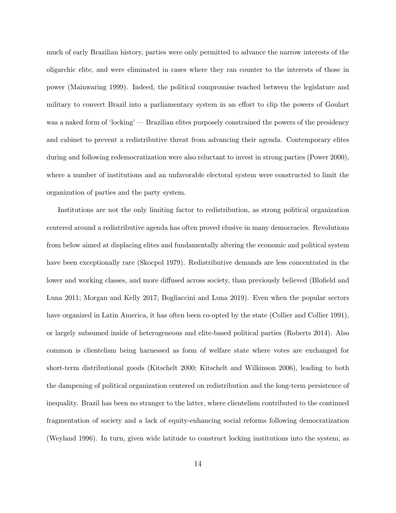much of early Brazilian history, parties were only permitted to advance the narrow interests of the oligarchic elite, and were eliminated in cases where they ran counter to the interests of those in power (Mainwaring 1999). Indeed, the political compromise reached between the legislature and military to convert Brazil into a parliamentary system in an effort to clip the powers of Goulart was a naked form of 'locking' — Brazilian elites purposely constrained the powers of the presidency and cabinet to prevent a redistributive threat from advancing their agenda. Contemporary elites during and following redemocratization were also reluctant to invest in strong parties (Power 2000), where a number of institutions and an unfavorable electoral system were constructed to limit the organization of parties and the party system.

Institutions are not the only limiting factor to redistribution, as strong political organization centered around a redistributive agenda has often proved elusive in many democracies. Revolutions from below aimed at displacing elites and fundamentally altering the economic and political system have been exceptionally rare (Skocpol 1979). Redistributive demands are less concentrated in the lower and working classes, and more diffused across society, than previously believed (Blofield and Luna 2011; Morgan and Kelly 2017; Bogliaccini and Luna 2019). Even when the popular sectors have organized in Latin America, it has often been co-opted by the state (Collier and Collier 1991), or largely subsumed inside of heterogeneous and elite-based political parties (Roberts 2014). Also common is clientelism being harnessed as form of welfare state where votes are exchanged for short-term distributional goods (Kitschelt 2000; Kitschelt and Wilkinson 2006), leading to both the dampening of political organization centered on redistribution and the long-term persistence of inequality. Brazil has been no stranger to the latter, where clientelism contributed to the continued fragmentation of society and a lack of equity-enhancing social reforms following democratization (Weyland 1996). In turn, given wide latitude to construct locking institutions into the system, as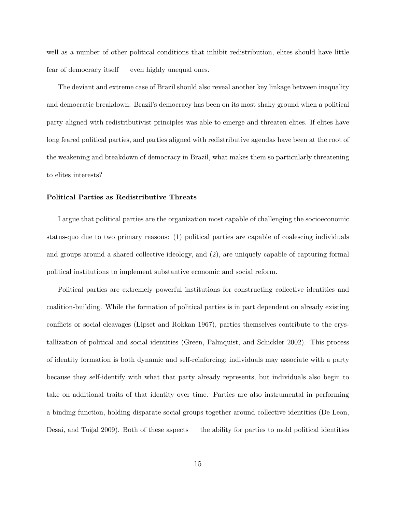well as a number of other political conditions that inhibit redistribution, elites should have little fear of democracy itself — even highly unequal ones.

The deviant and extreme case of Brazil should also reveal another key linkage between inequality and democratic breakdown: Brazil's democracy has been on its most shaky ground when a political party aligned with redistributivist principles was able to emerge and threaten elites. If elites have long feared political parties, and parties aligned with redistributive agendas have been at the root of the weakening and breakdown of democracy in Brazil, what makes them so particularly threatening to elites interests?

#### Political Parties as Redistributive Threats

I argue that political parties are the organization most capable of challenging the socioeconomic status-quo due to two primary reasons: (1) political parties are capable of coalescing individuals and groups around a shared collective ideology, and (2), are uniquely capable of capturing formal political institutions to implement substantive economic and social reform.

Political parties are extremely powerful institutions for constructing collective identities and coalition-building. While the formation of political parties is in part dependent on already existing conflicts or social cleavages (Lipset and Rokkan 1967), parties themselves contribute to the crystallization of political and social identities (Green, Palmquist, and Schickler 2002). This process of identity formation is both dynamic and self-reinforcing; individuals may associate with a party because they self-identify with what that party already represents, but individuals also begin to take on additional traits of that identity over time. Parties are also instrumental in performing a binding function, holding disparate social groups together around collective identities (De Leon, Desai, and Tuğal 2009). Both of these aspects — the ability for parties to mold political identities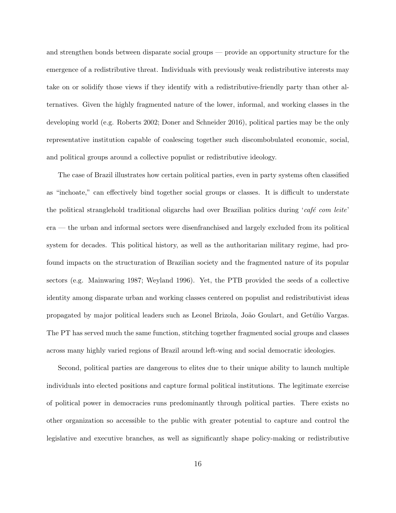and strengthen bonds between disparate social groups — provide an opportunity structure for the emergence of a redistributive threat. Individuals with previously weak redistributive interests may take on or solidify those views if they identify with a redistributive-friendly party than other alternatives. Given the highly fragmented nature of the lower, informal, and working classes in the developing world (e.g. Roberts 2002; Doner and Schneider 2016), political parties may be the only representative institution capable of coalescing together such discombobulated economic, social, and political groups around a collective populist or redistributive ideology.

The case of Brazil illustrates how certain political parties, even in party systems often classified as "inchoate," can effectively bind together social groups or classes. It is difficult to understate the political stranglehold traditional oligarchs had over Brazilian politics during 'café com leite' era — the urban and informal sectors were disenfranchised and largely excluded from its political system for decades. This political history, as well as the authoritarian military regime, had profound impacts on the structuration of Brazilian society and the fragmented nature of its popular sectors (e.g. Mainwaring 1987; Weyland 1996). Yet, the PTB provided the seeds of a collective identity among disparate urban and working classes centered on populist and redistributivist ideas propagated by major political leaders such as Leonel Brizola, João Goulart, and Getúlio Vargas. The PT has served much the same function, stitching together fragmented social groups and classes across many highly varied regions of Brazil around left-wing and social democratic ideologies.

Second, political parties are dangerous to elites due to their unique ability to launch multiple individuals into elected positions and capture formal political institutions. The legitimate exercise of political power in democracies runs predominantly through political parties. There exists no other organization so accessible to the public with greater potential to capture and control the legislative and executive branches, as well as significantly shape policy-making or redistributive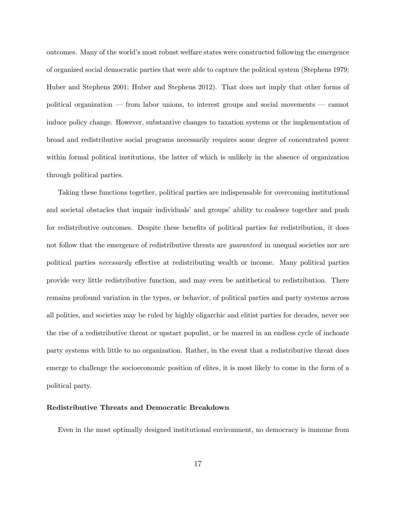outcomes. Many of the world's most robust welfare states were constructed following the emergence of organized social democratic parties that were able to capture the political system (Stephens 1979; Huber and Stephens 2001; Huber and Stephens 2012). That does not imply that other forms of political organization — from labor unions, to interest groups and social movements — cannot induce policy change. However, substantive changes to taxation systems or the implementation of broad and redistributive social programs necessarily requires some degree of concentrated power within formal political institutions, the latter of which is unlikely in the absence of organization through political parties.

Taking these functions together, political parties are indispensable for overcoming institutional and societal obstacles that impair individuals' and groups' ability to coalesce together and push for redistributive outcomes. Despite these benefits of political parties for redistribution, it does not follow that the emergence of redistributive threats are *quaranteed* in unequal societies nor are political parties necessarily effective at redistributing wealth or income. Many political parties provide very little redistributive function, and may even be antithetical to redistribution. There remains profound variation in the types, or behavior, of political parties and party systems across all polities, and societies may be ruled by highly oligarchic and elitist parties for decades, never see the rise of a redistributive threat or upstart populist, or be marred in an endless cycle of inchoate party systems with little to no organization. Rather, in the event that a redistributive threat does emerge to challenge the socioeconomic position of elites, it is most likely to come in the form of a political party.

#### Redistributive Threats and Democratic Breakdown

Even in the most optimally designed institutional environment, no democracy is immune from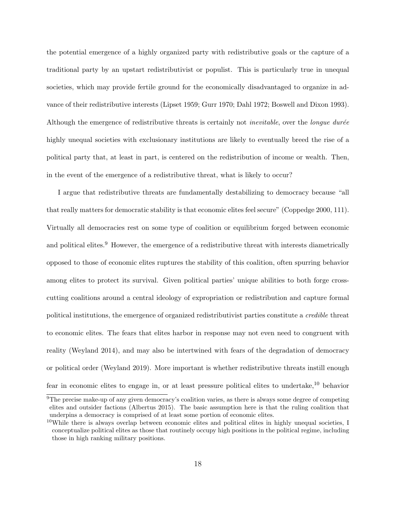the potential emergence of a highly organized party with redistributive goals or the capture of a traditional party by an upstart redistributivist or populist. This is particularly true in unequal societies, which may provide fertile ground for the economically disadvantaged to organize in advance of their redistributive interests (Lipset 1959; Gurr 1970; Dahl 1972; Boswell and Dixon 1993). Although the emergence of redistributive threats is certainly not *inevitable*, over the *longue durée* highly unequal societies with exclusionary institutions are likely to eventually breed the rise of a political party that, at least in part, is centered on the redistribution of income or wealth. Then, in the event of the emergence of a redistributive threat, what is likely to occur?

I argue that redistributive threats are fundamentally destabilizing to democracy because "all that really matters for democratic stability is that economic elites feel secure" (Coppedge 2000, 111). Virtually all democracies rest on some type of coalition or equilibrium forged between economic and political elites.<sup>9</sup> However, the emergence of a redistributive threat with interests diametrically opposed to those of economic elites ruptures the stability of this coalition, often spurring behavior among elites to protect its survival. Given political parties' unique abilities to both forge crosscutting coalitions around a central ideology of expropriation or redistribution and capture formal political institutions, the emergence of organized redistributivist parties constitute a credible threat to economic elites. The fears that elites harbor in response may not even need to congruent with reality (Weyland 2014), and may also be intertwined with fears of the degradation of democracy or political order (Weyland 2019). More important is whether redistributive threats instill enough fear in economic elites to engage in, or at least pressure political elites to undertake,<sup>10</sup> behavior

<sup>&</sup>lt;sup>9</sup>The precise make-up of any given democracy's coalition varies, as there is always some degree of competing elites and outsider factions (Albertus 2015). The basic assumption here is that the ruling coalition that underpins a democracy is comprised of at least some portion of economic elites.

<sup>&</sup>lt;sup>10</sup>While there is always overlap between economic elites and political elites in highly unequal societies, I conceptualize political elites as those that routinely occupy high positions in the political regime, including those in high ranking military positions.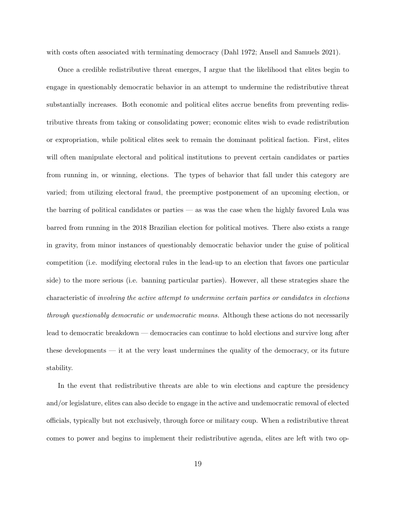with costs often associated with terminating democracy (Dahl 1972; Ansell and Samuels 2021).

Once a credible redistributive threat emerges, I argue that the likelihood that elites begin to engage in questionably democratic behavior in an attempt to undermine the redistributive threat substantially increases. Both economic and political elites accrue benefits from preventing redistributive threats from taking or consolidating power; economic elites wish to evade redistribution or expropriation, while political elites seek to remain the dominant political faction. First, elites will often manipulate electoral and political institutions to prevent certain candidates or parties from running in, or winning, elections. The types of behavior that fall under this category are varied; from utilizing electoral fraud, the preemptive postponement of an upcoming election, or the barring of political candidates or parties — as was the case when the highly favored Lula was barred from running in the 2018 Brazilian election for political motives. There also exists a range in gravity, from minor instances of questionably democratic behavior under the guise of political competition (i.e. modifying electoral rules in the lead-up to an election that favors one particular side) to the more serious (i.e. banning particular parties). However, all these strategies share the characteristic of involving the active attempt to undermine certain parties or candidates in elections through questionably democratic or undemocratic means. Although these actions do not necessarily lead to democratic breakdown — democracies can continue to hold elections and survive long after these developments — it at the very least undermines the quality of the democracy, or its future stability.

In the event that redistributive threats are able to win elections and capture the presidency and/or legislature, elites can also decide to engage in the active and undemocratic removal of elected officials, typically but not exclusively, through force or military coup. When a redistributive threat comes to power and begins to implement their redistributive agenda, elites are left with two op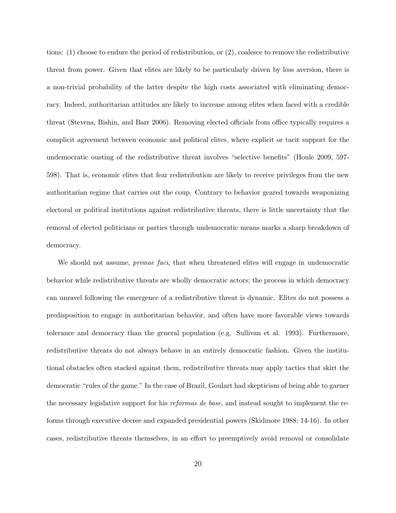tions: (1) choose to endure the period of redistribution, or (2), coalesce to remove the redistributive threat from power. Given that elites are likely to be particularly driven by loss aversion, there is a non-trivial probability of the latter despite the high costs associated with eliminating democracy. Indeed, authoritarian attitudes are likely to increase among elites when faced with a credible threat (Stevens, Bishin, and Barr 2006). Removing elected officials from office typically requires a complicit agreement between economic and political elites, where explicit or tacit support for the undemocratic ousting of the redistributive threat involves "selective benefits" (Houle 2009, 597- 598). That is, economic elites that fear redistribution are likely to receive privileges from the new authoritarian regime that carries out the coup. Contrary to behavior geared towards weaponizing electoral or political institutions against redistributive threats, there is little uncertainty that the removal of elected politicians or parties through undemocratic means marks a sharp breakdown of democracy.

We should not assume, *primae faci*, that when threatened elites will engage in undemocratic behavior while redistributive threats are wholly democratic actors; the process in which democracy can unravel following the emergence of a redistributive threat is dynamic. Elites do not possess a predisposition to engage in authoritarian behavior, and often have more favorable views towards tolerance and democracy than the general population (e.g. Sullivan et al. 1993). Furthermore, redistributive threats do not always behave in an entirely democratic fashion. Given the institutional obstacles often stacked against them, redistributive threats may apply tactics that skirt the democratic "rules of the game." In the case of Brazil, Goulart had skepticism of being able to garner the necessary legislative support for his reformas de base, and instead sought to implement the reforms through executive decree and expanded presidential powers (Skidmore 1988; 14-16). In other cases, redistributive threats themselves, in an effort to preemptively avoid removal or consolidate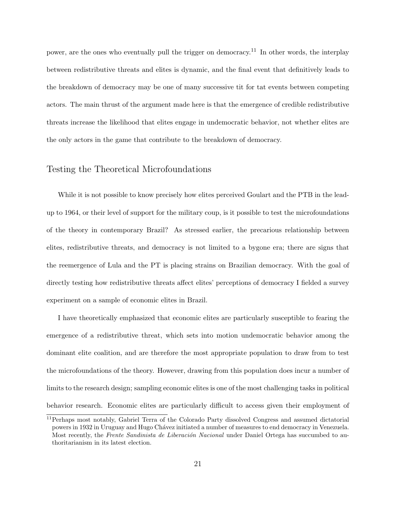power, are the ones who eventually pull the trigger on democracy.<sup>11</sup> In other words, the interplay between redistributive threats and elites is dynamic, and the final event that definitively leads to the breakdown of democracy may be one of many successive tit for tat events between competing actors. The main thrust of the argument made here is that the emergence of credible redistributive threats increase the likelihood that elites engage in undemocratic behavior, not whether elites are the only actors in the game that contribute to the breakdown of democracy.

## Testing the Theoretical Microfoundations

While it is not possible to know precisely how elites perceived Goulart and the PTB in the leadup to 1964, or their level of support for the military coup, is it possible to test the microfoundations of the theory in contemporary Brazil? As stressed earlier, the precarious relationship between elites, redistributive threats, and democracy is not limited to a bygone era; there are signs that the reemergence of Lula and the PT is placing strains on Brazilian democracy. With the goal of directly testing how redistributive threats affect elites' perceptions of democracy I fielded a survey experiment on a sample of economic elites in Brazil.

I have theoretically emphasized that economic elites are particularly susceptible to fearing the emergence of a redistributive threat, which sets into motion undemocratic behavior among the dominant elite coalition, and are therefore the most appropriate population to draw from to test the microfoundations of the theory. However, drawing from this population does incur a number of limits to the research design; sampling economic elites is one of the most challenging tasks in political behavior research. Economic elites are particularly difficult to access given their employment of

<sup>11</sup>Perhaps most notably, Gabriel Terra of the Colorado Party dissolved Congress and assumed dictatorial powers in 1932 in Uruguay and Hugo Chávez initiated a number of measures to end democracy in Venezuela. Most recently, the Frente Sandinista de Liberación Nacional under Daniel Ortega has succumbed to authoritarianism in its latest election.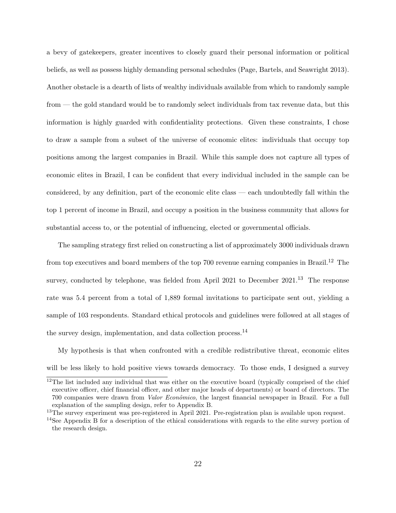a bevy of gatekeepers, greater incentives to closely guard their personal information or political beliefs, as well as possess highly demanding personal schedules (Page, Bartels, and Seawright 2013). Another obstacle is a dearth of lists of wealthy individuals available from which to randomly sample from — the gold standard would be to randomly select individuals from tax revenue data, but this information is highly guarded with confidentiality protections. Given these constraints, I chose to draw a sample from a subset of the universe of economic elites: individuals that occupy top positions among the largest companies in Brazil. While this sample does not capture all types of economic elites in Brazil, I can be confident that every individual included in the sample can be considered, by any definition, part of the economic elite class — each undoubtedly fall within the top 1 percent of income in Brazil, and occupy a position in the business community that allows for substantial access to, or the potential of influencing, elected or governmental officials.

The sampling strategy first relied on constructing a list of approximately 3000 individuals drawn from top executives and board members of the top  $700$  revenue earning companies in Brazil.<sup>12</sup> The survey, conducted by telephone, was fielded from April 2021 to December 2021.<sup>13</sup> The response rate was 5.4 percent from a total of 1,889 formal invitations to participate sent out, yielding a sample of 103 respondents. Standard ethical protocols and guidelines were followed at all stages of the survey design, implementation, and data collection process.<sup>14</sup>

My hypothesis is that when confronted with a credible redistributive threat, economic elites will be less likely to hold positive views towards democracy. To those ends, I designed a survey

<sup>&</sup>lt;sup>12</sup>The list included any individual that was either on the executive board (typically comprised of the chief executive officer, chief financial officer, and other major heads of departments) or board of directors. The 700 companies were drawn from *Valor Econômico*, the largest financial newspaper in Brazil. For a full explanation of the sampling design, refer to Appendix B.

<sup>&</sup>lt;sup>13</sup>The survey experiment was pre-registered in April 2021. Pre-registration plan is available upon request.

<sup>&</sup>lt;sup>14</sup>See Appendix B for a description of the ethical considerations with regards to the elite survey portion of the research design.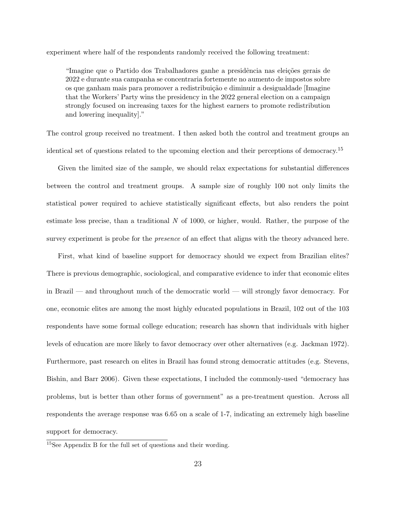experiment where half of the respondents randomly received the following treatment:

"Imagine que o Partido dos Trabalhadores ganhe a presidência nas eleições gerais de 2022 e durante sua campanha se concentraria fortemente no aumento de impostos sobre os que ganham mais para promover a redistribui¸c˜ao e diminuir a desigualdade [Imagine that the Workers' Party wins the presidency in the 2022 general election on a campaign strongly focused on increasing taxes for the highest earners to promote redistribution and lowering inequality]."

The control group received no treatment. I then asked both the control and treatment groups an identical set of questions related to the upcoming election and their perceptions of democracy.<sup>15</sup>

Given the limited size of the sample, we should relax expectations for substantial differences between the control and treatment groups. A sample size of roughly 100 not only limits the statistical power required to achieve statistically significant effects, but also renders the point estimate less precise, than a traditional  $N$  of 1000, or higher, would. Rather, the purpose of the survey experiment is probe for the *presence* of an effect that aligns with the theory advanced here.

First, what kind of baseline support for democracy should we expect from Brazilian elites? There is previous demographic, sociological, and comparative evidence to infer that economic elites in Brazil — and throughout much of the democratic world — will strongly favor democracy. For one, economic elites are among the most highly educated populations in Brazil, 102 out of the 103 respondents have some formal college education; research has shown that individuals with higher levels of education are more likely to favor democracy over other alternatives (e.g. Jackman 1972). Furthermore, past research on elites in Brazil has found strong democratic attitudes (e.g. Stevens, Bishin, and Barr 2006). Given these expectations, I included the commonly-used "democracy has problems, but is better than other forms of government" as a pre-treatment question. Across all respondents the average response was 6.65 on a scale of 1-7, indicating an extremely high baseline support for democracy.

<sup>15</sup>See Appendix B for the full set of questions and their wording.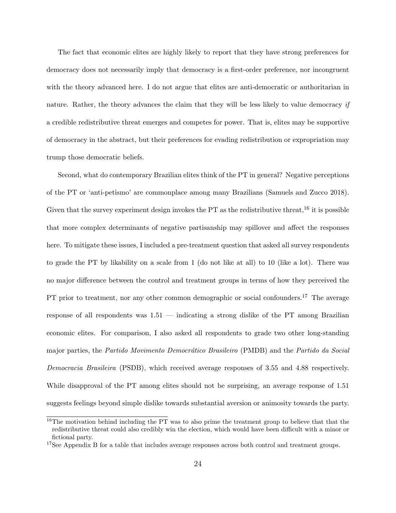The fact that economic elites are highly likely to report that they have strong preferences for democracy does not necessarily imply that democracy is a first-order preference, nor incongruent with the theory advanced here. I do not argue that elites are anti-democratic or authoritarian in nature. Rather, the theory advances the claim that they will be less likely to value democracy if a credible redistributive threat emerges and competes for power. That is, elites may be supportive of democracy in the abstract, but their preferences for evading redistribution or expropriation may trump those democratic beliefs.

Second, what do contemporary Brazilian elites think of the PT in general? Negative perceptions of the PT or 'anti-petismo' are commonplace among many Brazilians (Samuels and Zucco 2018). Given that the survey experiment design invokes the  $PT$  as the redistributive threat,  $^{16}$  it is possible that more complex determinants of negative partisanship may spillover and affect the responses here. To mitigate these issues, I included a pre-treatment question that asked all survey respondents to grade the PT by likability on a scale from 1 (do not like at all) to 10 (like a lot). There was no major difference between the control and treatment groups in terms of how they perceived the PT prior to treatment, nor any other common demographic or social confounders.<sup>17</sup> The average response of all respondents was 1.51 — indicating a strong dislike of the PT among Brazilian economic elites. For comparison, I also asked all respondents to grade two other long-standing major parties, the *Partido Movimento Democrático Brasileiro* (PMDB) and the *Partido da Social* Democracia Brasileira (PSDB), which received average responses of 3.55 and 4.88 respectively. While disapproval of the PT among elites should not be surprising, an average response of 1.51 suggests feelings beyond simple dislike towards substantial aversion or animosity towards the party.

<sup>&</sup>lt;sup>16</sup>The motivation behind including the PT was to also prime the treatment group to believe that that the redistributive threat could also credibly win the election, which would have been difficult with a minor or fictional party.

<sup>&</sup>lt;sup>17</sup>See Appendix B for a table that includes average responses across both control and treatment groups.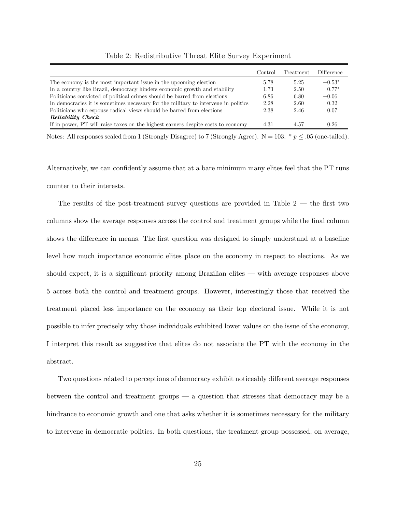|                                                                                    | Control | Treatment | Difference |
|------------------------------------------------------------------------------------|---------|-----------|------------|
| The economy is the most important issue in the upcoming election                   | 5.78    | 5.25      | $-0.53*$   |
| In a country like Brazil, democracy hinders economic growth and stability          | 1.73    | 2.50      | $0.77*$    |
| Politicians convicted of political crimes should be barred from elections          | 6.86    | 6.80      | $-0.06$    |
| In democracies it is sometimes necessary for the military to intervene in politics | 2.28    | 2.60      | 0.32       |
| Politicians who espouse radical views should be barred from elections              | 2.38    | 2.46      | 0.07       |
| Reliability Check                                                                  |         |           |            |
| If in power, PT will raise taxes on the highest earners despite costs to economy   | 4.31    | 4.57      | 0.26       |

Table 2: Redistributive Threat Elite Survey Experiment

Notes: All responses scaled from 1 (Strongly Disagree) to 7 (Strongly Agree).  $N = 103. * p \le .05$  (one-tailed).

Alternatively, we can confidently assume that at a bare minimum many elites feel that the PT runs counter to their interests.

The results of the post-treatment survey questions are provided in Table 2 — the first two columns show the average responses across the control and treatment groups while the final column shows the difference in means. The first question was designed to simply understand at a baseline level how much importance economic elites place on the economy in respect to elections. As we should expect, it is a significant priority among Brazilian elites — with average responses above 5 across both the control and treatment groups. However, interestingly those that received the treatment placed less importance on the economy as their top electoral issue. While it is not possible to infer precisely why those individuals exhibited lower values on the issue of the economy, I interpret this result as suggestive that elites do not associate the PT with the economy in the abstract.

Two questions related to perceptions of democracy exhibit noticeably different average responses between the control and treatment groups — a question that stresses that democracy may be a hindrance to economic growth and one that asks whether it is sometimes necessary for the military to intervene in democratic politics. In both questions, the treatment group possessed, on average,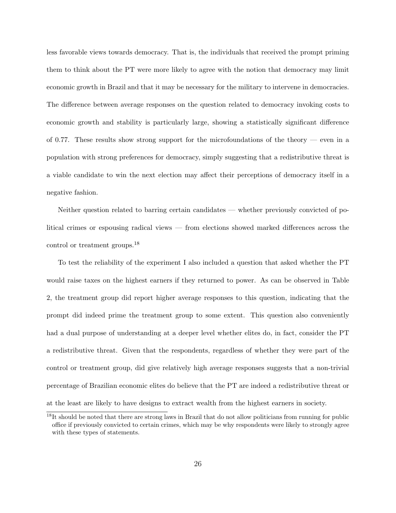less favorable views towards democracy. That is, the individuals that received the prompt priming them to think about the PT were more likely to agree with the notion that democracy may limit economic growth in Brazil and that it may be necessary for the military to intervene in democracies. The difference between average responses on the question related to democracy invoking costs to economic growth and stability is particularly large, showing a statistically significant difference of 0.77. These results show strong support for the microfoundations of the theory — even in a population with strong preferences for democracy, simply suggesting that a redistributive threat is a viable candidate to win the next election may affect their perceptions of democracy itself in a negative fashion.

Neither question related to barring certain candidates — whether previously convicted of political crimes or espousing radical views — from elections showed marked differences across the control or treatment groups.<sup>18</sup>

To test the reliability of the experiment I also included a question that asked whether the PT would raise taxes on the highest earners if they returned to power. As can be observed in Table 2, the treatment group did report higher average responses to this question, indicating that the prompt did indeed prime the treatment group to some extent. This question also conveniently had a dual purpose of understanding at a deeper level whether elites do, in fact, consider the PT a redistributive threat. Given that the respondents, regardless of whether they were part of the control or treatment group, did give relatively high average responses suggests that a non-trivial percentage of Brazilian economic elites do believe that the PT are indeed a redistributive threat or at the least are likely to have designs to extract wealth from the highest earners in society.

<sup>&</sup>lt;sup>18</sup>It should be noted that there are strong laws in Brazil that do not allow politicians from running for public office if previously convicted to certain crimes, which may be why respondents were likely to strongly agree with these types of statements.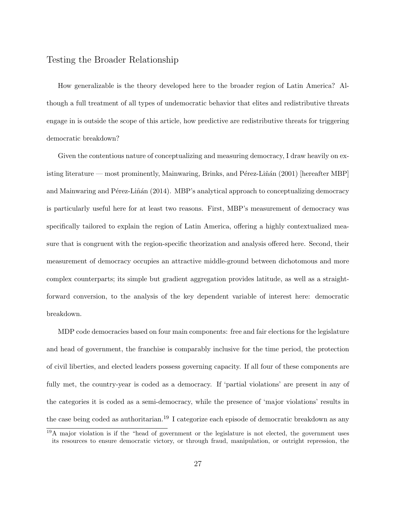## Testing the Broader Relationship

How generalizable is the theory developed here to the broader region of Latin America? Although a full treatment of all types of undemocratic behavior that elites and redistributive threats engage in is outside the scope of this article, how predictive are redistributive threats for triggering democratic breakdown?

Given the contentious nature of conceptualizing and measuring democracy, I draw heavily on existing literature — most prominently, Mainwaring, Brinks, and Pérez-Liñán (2001) [hereafter MBP] and Mainwaring and Pérez-Liñán (2014). MBP's analytical approach to conceptualizing democracy is particularly useful here for at least two reasons. First, MBP's measurement of democracy was specifically tailored to explain the region of Latin America, offering a highly contextualized measure that is congruent with the region-specific theorization and analysis offered here. Second, their measurement of democracy occupies an attractive middle-ground between dichotomous and more complex counterparts; its simple but gradient aggregation provides latitude, as well as a straightforward conversion, to the analysis of the key dependent variable of interest here: democratic breakdown.

MDP code democracies based on four main components: free and fair elections for the legislature and head of government, the franchise is comparably inclusive for the time period, the protection of civil liberties, and elected leaders possess governing capacity. If all four of these components are fully met, the country-year is coded as a democracy. If 'partial violations' are present in any of the categories it is coded as a semi-democracy, while the presence of 'major violations' results in the case being coded as authoritarian.<sup>19</sup> I categorize each episode of democratic breakdown as any

<sup>19</sup>A major violation is if the "head of government or the legislature is not elected, the government uses its resources to ensure democratic victory, or through fraud, manipulation, or outright repression, the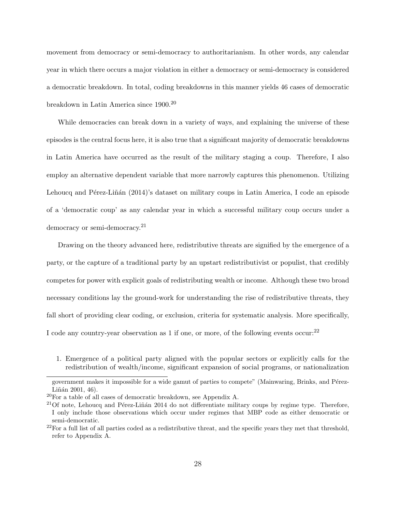movement from democracy or semi-democracy to authoritarianism. In other words, any calendar year in which there occurs a major violation in either a democracy or semi-democracy is considered a democratic breakdown. In total, coding breakdowns in this manner yields 46 cases of democratic breakdown in Latin America since 1900.<sup>20</sup>

While democracies can break down in a variety of ways, and explaining the universe of these episodes is the central focus here, it is also true that a significant majority of democratic breakdowns in Latin America have occurred as the result of the military staging a coup. Therefore, I also employ an alternative dependent variable that more narrowly captures this phenomenon. Utilizing Lehoucq and Pérez-Liñán (2014)'s dataset on military coups in Latin America, I code an episode of a 'democratic coup' as any calendar year in which a successful military coup occurs under a democracy or semi-democracy.<sup>21</sup>

Drawing on the theory advanced here, redistributive threats are signified by the emergence of a party, or the capture of a traditional party by an upstart redistributivist or populist, that credibly competes for power with explicit goals of redistributing wealth or income. Although these two broad necessary conditions lay the ground-work for understanding the rise of redistributive threats, they fall short of providing clear coding, or exclusion, criteria for systematic analysis. More specifically, I code any country-year observation as 1 if one, or more, of the following events occur:  $22$ 

1. Emergence of a political party aligned with the popular sectors or explicitly calls for the redistribution of wealth/income, significant expansion of social programs, or nationalization

government makes it impossible for a wide gamut of parties to compete" (Mainwaring, Brinks, and Pérez- $Liñán 2001, 46$ .

 $^{20}$ For a table of all cases of democratic breakdown, see Appendix A.

 $21$ Of note, Lehoucq and Pérez-Liñán 2014 do not differentiate military coups by regime type. Therefore, I only include those observations which occur under regimes that MBP code as either democratic or semi-democratic.

 $22$ For a full list of all parties coded as a redistributive threat, and the specific years they met that threshold, refer to Appendix A.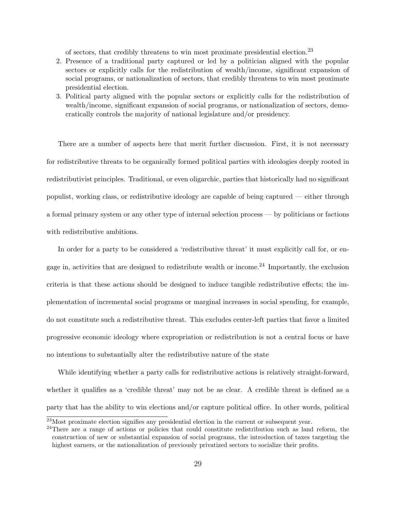of sectors, that credibly threatens to win most proximate presidential election.<sup>23</sup>

- 2. Presence of a traditional party captured or led by a politician aligned with the popular sectors or explicitly calls for the redistribution of wealth/income, significant expansion of social programs, or nationalization of sectors, that credibly threatens to win most proximate presidential election.
- 3. Political party aligned with the popular sectors or explicitly calls for the redistribution of wealth/income, significant expansion of social programs, or nationalization of sectors, democratically controls the majority of national legislature and/or presidency.

There are a number of aspects here that merit further discussion. First, it is not necessary for redistributive threats to be organically formed political parties with ideologies deeply rooted in redistributivist principles. Traditional, or even oligarchic, parties that historically had no significant populist, working class, or redistributive ideology are capable of being captured — either through a formal primary system or any other type of internal selection process — by politicians or factions with redistributive ambitions.

In order for a party to be considered a 'redistributive threat' it must explicitly call for, or engage in, activities that are designed to redistribute wealth or income.<sup>24</sup> Importantly, the exclusion criteria is that these actions should be designed to induce tangible redistributive effects; the implementation of incremental social programs or marginal increases in social spending, for example, do not constitute such a redistributive threat. This excludes center-left parties that favor a limited progressive economic ideology where expropriation or redistribution is not a central focus or have no intentions to substantially alter the redistributive nature of the state

While identifying whether a party calls for redistributive actions is relatively straight-forward, whether it qualifies as a 'credible threat' may not be as clear. A credible threat is defined as a party that has the ability to win elections and/or capture political office. In other words, political

 $^{23}$ Most proximate election signifies any presidential election in the current or subsequent year.

<sup>&</sup>lt;sup>24</sup>There are a range of actions or policies that could constitute redistribution such as land reform, the construction of new or substantial expansion of social programs, the introduction of taxes targeting the highest earners, or the nationalization of previously privatized sectors to socialize their profits.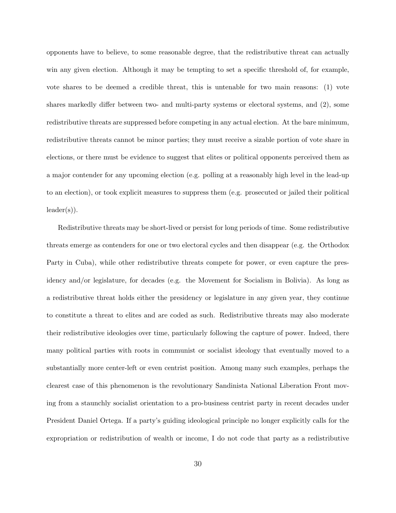opponents have to believe, to some reasonable degree, that the redistributive threat can actually win any given election. Although it may be tempting to set a specific threshold of, for example, vote shares to be deemed a credible threat, this is untenable for two main reasons: (1) vote shares markedly differ between two- and multi-party systems or electoral systems, and (2), some redistributive threats are suppressed before competing in any actual election. At the bare minimum, redistributive threats cannot be minor parties; they must receive a sizable portion of vote share in elections, or there must be evidence to suggest that elites or political opponents perceived them as a major contender for any upcoming election (e.g. polling at a reasonably high level in the lead-up to an election), or took explicit measures to suppress them (e.g. prosecuted or jailed their political  $leader(s)$ ).

Redistributive threats may be short-lived or persist for long periods of time. Some redistributive threats emerge as contenders for one or two electoral cycles and then disappear (e.g. the Orthodox Party in Cuba), while other redistributive threats compete for power, or even capture the presidency and/or legislature, for decades (e.g. the Movement for Socialism in Bolivia). As long as a redistributive threat holds either the presidency or legislature in any given year, they continue to constitute a threat to elites and are coded as such. Redistributive threats may also moderate their redistributive ideologies over time, particularly following the capture of power. Indeed, there many political parties with roots in communist or socialist ideology that eventually moved to a substantially more center-left or even centrist position. Among many such examples, perhaps the clearest case of this phenomenon is the revolutionary Sandinista National Liberation Front moving from a staunchly socialist orientation to a pro-business centrist party in recent decades under President Daniel Ortega. If a party's guiding ideological principle no longer explicitly calls for the expropriation or redistribution of wealth or income, I do not code that party as a redistributive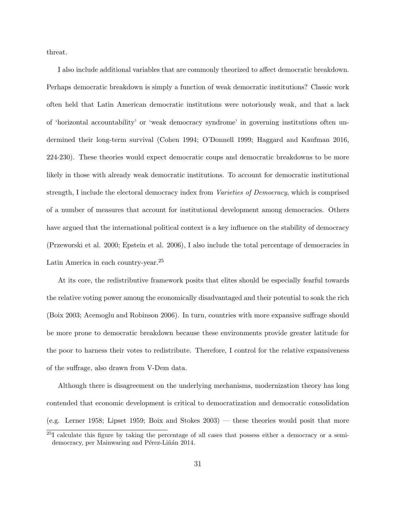threat.

I also include additional variables that are commonly theorized to affect democratic breakdown. Perhaps democratic breakdown is simply a function of weak democratic institutions? Classic work often held that Latin American democratic institutions were notoriously weak, and that a lack of 'horizontal accountability' or 'weak democracy syndrome' in governing institutions often undermined their long-term survival (Cohen 1994; O'Donnell 1999; Haggard and Kaufman 2016, 224-230). These theories would expect democratic coups and democratic breakdowns to be more likely in those with already weak democratic institutions. To account for democratic institutional strength, I include the electoral democracy index from *Varieties of Democracy*, which is comprised of a number of measures that account for institutional development among democracies. Others have argued that the international political context is a key influence on the stability of democracy (Przeworski et al. 2000; Epstein et al. 2006), I also include the total percentage of democracies in Latin America in each country-year.<sup>25</sup>

At its core, the redistributive framework posits that elites should be especially fearful towards the relative voting power among the economically disadvantaged and their potential to soak the rich (Boix 2003; Acemoglu and Robinson 2006). In turn, countries with more expansive suffrage should be more prone to democratic breakdown because these environments provide greater latitude for the poor to harness their votes to redistribute. Therefore, I control for the relative expansiveness of the suffrage, also drawn from V-Dem data.

Although there is disagreement on the underlying mechanisms, modernization theory has long contended that economic development is critical to democratization and democratic consolidation (e.g. Lerner 1958; Lipset 1959; Boix and Stokes 2003) — these theories would posit that more

<sup>&</sup>lt;sup>25</sup>I calculate this figure by taking the percentage of all cases that possess either a democracy or a semidemocracy, per Mainwaring and Pérez-Liñán 2014.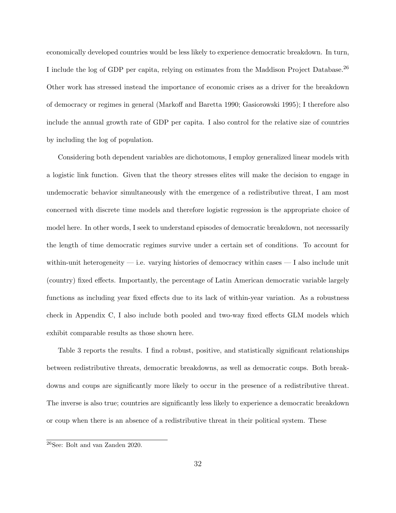economically developed countries would be less likely to experience democratic breakdown. In turn, I include the log of GDP per capita, relying on estimates from the Maddison Project Database.<sup>26</sup> Other work has stressed instead the importance of economic crises as a driver for the breakdown of democracy or regimes in general (Markoff and Baretta 1990; Gasiorowski 1995); I therefore also include the annual growth rate of GDP per capita. I also control for the relative size of countries by including the log of population.

Considering both dependent variables are dichotomous, I employ generalized linear models with a logistic link function. Given that the theory stresses elites will make the decision to engage in undemocratic behavior simultaneously with the emergence of a redistributive threat, I am most concerned with discrete time models and therefore logistic regression is the appropriate choice of model here. In other words, I seek to understand episodes of democratic breakdown, not necessarily the length of time democratic regimes survive under a certain set of conditions. To account for within-unit heterogeneity  $-$  i.e. varying histories of democracy within cases  $-$  I also include unit (country) fixed effects. Importantly, the percentage of Latin American democratic variable largely functions as including year fixed effects due to its lack of within-year variation. As a robustness check in Appendix C, I also include both pooled and two-way fixed effects GLM models which exhibit comparable results as those shown here.

Table 3 reports the results. I find a robust, positive, and statistically significant relationships between redistributive threats, democratic breakdowns, as well as democratic coups. Both breakdowns and coups are significantly more likely to occur in the presence of a redistributive threat. The inverse is also true; countries are significantly less likely to experience a democratic breakdown or coup when there is an absence of a redistributive threat in their political system. These

<sup>26</sup>See: Bolt and van Zanden 2020.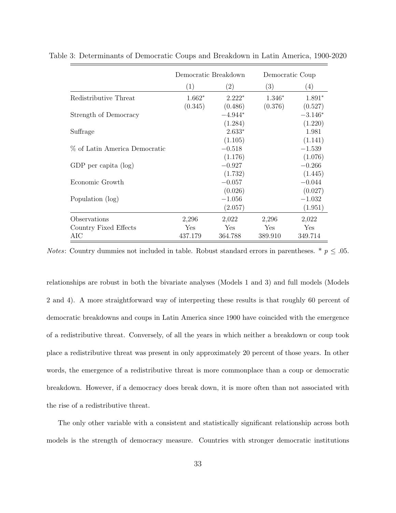|                               | Democratic Breakdown |                   | Democratic Coup |                   |
|-------------------------------|----------------------|-------------------|-----------------|-------------------|
|                               | (1)                  | $\left( 2\right)$ | (3)             | $\left( 4\right)$ |
| Redistributive Threat         | $1.662*$             | $2.222*$          | $1.346*$        | $1.891*$          |
|                               | (0.345)              | (0.486)           | (0.376)         | (0.527)           |
| Strength of Democracy         |                      | $-4.944*$         |                 | $-3.146*$         |
|                               |                      | (1.284)           |                 | (1.220)           |
| Suffrage                      |                      | $2.633*$          |                 | 1.981             |
|                               |                      | (1.105)           |                 | (1.141)           |
| % of Latin America Democratic |                      | $-0.518$          |                 | $-1.539$          |
|                               |                      | (1.176)           |                 | (1.076)           |
| GDP per capita $(\log)$       |                      | $-0.927$          |                 | $-0.266$          |
|                               |                      | (1.732)           |                 | (1.445)           |
| Economic Growth               |                      | $-0.057$          |                 | $-0.044$          |
|                               |                      | (0.026)           |                 | (0.027)           |
| Population (log)              |                      | $-1.056$          |                 | $-1.032$          |
|                               |                      | (2.057)           |                 | (1.951)           |
| Observations                  | 2,296                | 2,022             | 2,296           | 2,022             |
| Country Fixed Effects         | Yes.                 | Yes.              | <b>Yes</b>      | <b>Yes</b>        |
| AIC                           | 437.179              | 364.788           | 389.910         | 349.714           |

Table 3: Determinants of Democratic Coups and Breakdown in Latin America, 1900-2020

*Notes*: Country dummies not included in table. Robust standard errors in parentheses. \*  $p \leq .05$ .

relationships are robust in both the bivariate analyses (Models 1 and 3) and full models (Models 2 and 4). A more straightforward way of interpreting these results is that roughly 60 percent of democratic breakdowns and coups in Latin America since 1900 have coincided with the emergence of a redistributive threat. Conversely, of all the years in which neither a breakdown or coup took place a redistributive threat was present in only approximately 20 percent of those years. In other words, the emergence of a redistributive threat is more commonplace than a coup or democratic breakdown. However, if a democracy does break down, it is more often than not associated with the rise of a redistributive threat.

The only other variable with a consistent and statistically significant relationship across both models is the strength of democracy measure. Countries with stronger democratic institutions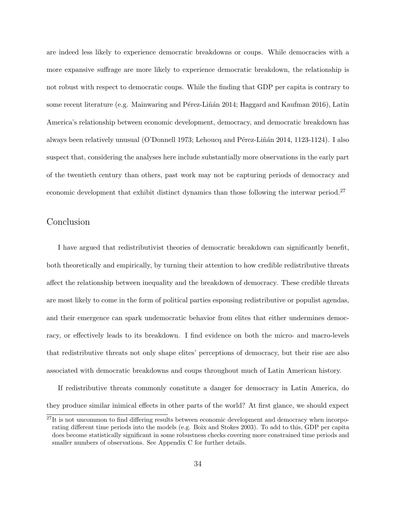are indeed less likely to experience democratic breakdowns or coups. While democracies with a more expansive suffrage are more likely to experience democratic breakdown, the relationship is not robust with respect to democratic coups. While the finding that GDP per capita is contrary to some recent literature (e.g. Mainwaring and Pérez-Liñán 2014; Haggard and Kaufman 2016), Latin America's relationship between economic development, democracy, and democratic breakdown has always been relatively unusual (O'Donnell 1973; Lehoucq and Pérez-Liñán 2014, 1123-1124). I also suspect that, considering the analyses here include substantially more observations in the early part of the twentieth century than others, past work may not be capturing periods of democracy and economic development that exhibit distinct dynamics than those following the interwar period.<sup>27</sup>

## Conclusion

I have argued that redistributivist theories of democratic breakdown can significantly benefit, both theoretically and empirically, by turning their attention to how credible redistributive threats affect the relationship between inequality and the breakdown of democracy. These credible threats are most likely to come in the form of political parties espousing redistributive or populist agendas, and their emergence can spark undemocratic behavior from elites that either undermines democracy, or effectively leads to its breakdown. I find evidence on both the micro- and macro-levels that redistributive threats not only shape elites' perceptions of democracy, but their rise are also associated with democratic breakdowns and coups throughout much of Latin American history.

If redistributive threats commonly constitute a danger for democracy in Latin America, do they produce similar inimical effects in other parts of the world? At first glance, we should expect

 $27$ It is not uncommon to find differing results between economic development and democracy when incorporating different time periods into the models (e.g. Boix and Stokes 2003). To add to this, GDP per capita does become statistically significant in some robustness checks covering more constrained time periods and smaller numbers of observations. See Appendix C for further details.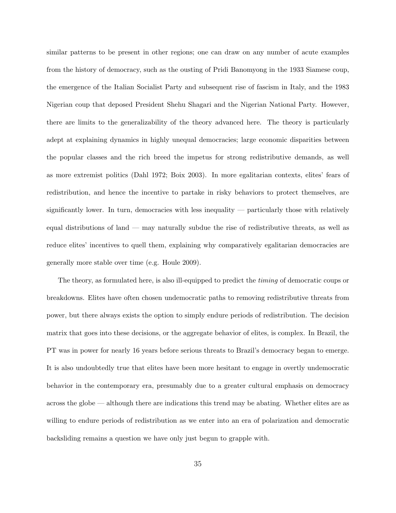similar patterns to be present in other regions; one can draw on any number of acute examples from the history of democracy, such as the ousting of Pridi Banomyong in the 1933 Siamese coup, the emergence of the Italian Socialist Party and subsequent rise of fascism in Italy, and the 1983 Nigerian coup that deposed President Shehu Shagari and the Nigerian National Party. However, there are limits to the generalizability of the theory advanced here. The theory is particularly adept at explaining dynamics in highly unequal democracies; large economic disparities between the popular classes and the rich breed the impetus for strong redistributive demands, as well as more extremist politics (Dahl 1972; Boix 2003). In more egalitarian contexts, elites' fears of redistribution, and hence the incentive to partake in risky behaviors to protect themselves, are significantly lower. In turn, democracies with less inequality — particularly those with relatively equal distributions of land — may naturally subdue the rise of redistributive threats, as well as reduce elites' incentives to quell them, explaining why comparatively egalitarian democracies are generally more stable over time (e.g. Houle 2009).

The theory, as formulated here, is also ill-equipped to predict the *timing* of democratic coups or breakdowns. Elites have often chosen undemocratic paths to removing redistributive threats from power, but there always exists the option to simply endure periods of redistribution. The decision matrix that goes into these decisions, or the aggregate behavior of elites, is complex. In Brazil, the PT was in power for nearly 16 years before serious threats to Brazil's democracy began to emerge. It is also undoubtedly true that elites have been more hesitant to engage in overtly undemocratic behavior in the contemporary era, presumably due to a greater cultural emphasis on democracy across the globe — although there are indications this trend may be abating. Whether elites are as willing to endure periods of redistribution as we enter into an era of polarization and democratic backsliding remains a question we have only just begun to grapple with.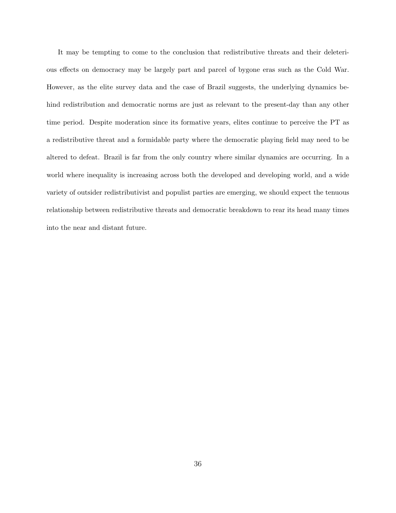It may be tempting to come to the conclusion that redistributive threats and their deleterious effects on democracy may be largely part and parcel of bygone eras such as the Cold War. However, as the elite survey data and the case of Brazil suggests, the underlying dynamics behind redistribution and democratic norms are just as relevant to the present-day than any other time period. Despite moderation since its formative years, elites continue to perceive the PT as a redistributive threat and a formidable party where the democratic playing field may need to be altered to defeat. Brazil is far from the only country where similar dynamics are occurring. In a world where inequality is increasing across both the developed and developing world, and a wide variety of outsider redistributivist and populist parties are emerging, we should expect the tenuous relationship between redistributive threats and democratic breakdown to rear its head many times into the near and distant future.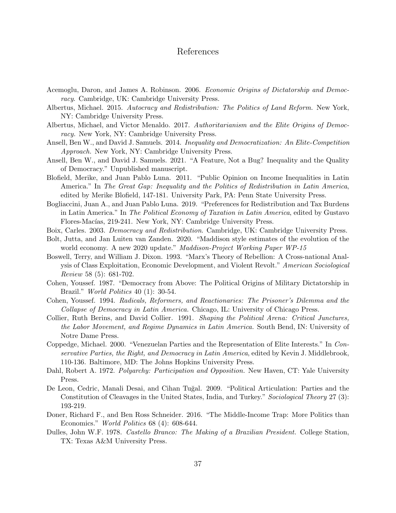## References

- Acemoglu, Daron, and James A. Robinson. 2006. Economic Origins of Dictatorship and Democracy. Cambridge, UK: Cambridge University Press.
- Albertus, Michael. 2015. Autocracy and Redistribution: The Politics of Land Reform. New York, NY: Cambridge University Press.
- Albertus, Michael, and Victor Menaldo. 2017. Authoritarianism and the Elite Origins of Democracy. New York, NY: Cambridge University Press.
- Ansell, Ben W., and David J. Samuels. 2014. Inequality and Democratization: An Elite-Competition Approach. New York, NY: Cambridge University Press.
- Ansell, Ben W., and David J. Samuels. 2021. "A Feature, Not a Bug? Inequality and the Quality of Democracy." Unpublished manuscript.
- Blofield, Merike, and Juan Pablo Luna. 2011. "Public Opinion on Income Inequalities in Latin America." In The Great Gap: Inequality and the Politics of Redistribution in Latin America, edited by Merike Blofield, 147-181. University Park, PA: Penn State University Press.
- Bogliaccini, Juan A., and Juan Pablo Luna. 2019. "Preferences for Redistribution and Tax Burdens in Latin America." In The Political Economy of Taxation in Latin America, edited by Gustavo Flores-Macías, 219-241. New York, NY: Cambridge University Press.
- Boix, Carles. 2003. Democracy and Redistribution. Cambridge, UK: Cambridge University Press.
- Bolt, Jutta, and Jan Luiten van Zanden. 2020. "Maddison style estimates of the evolution of the world economy. A new 2020 update." *Maddison-Project Working Paper WP-15*
- Boswell, Terry, and William J. Dixon. 1993. "Marx's Theory of Rebellion: A Cross-national Analysis of Class Exploitation, Economic Development, and Violent Revolt." American Sociological Review 58 (5): 681-702.
- Cohen, Youssef. 1987. "Democracy from Above: The Political Origins of Military Dictatorship in Brazil." World Politics 40 (1): 30-54.
- Cohen, Youssef. 1994. Radicals, Reformers, and Reactionaries: The Prisoner's Dilemma and the Collapse of Democracy in Latin America. Chicago, IL: University of Chicago Press.
- Collier, Ruth Berins, and David Collier. 1991. Shaping the Political Arena: Critical Junctures, the Labor Movement, and Regime Dynamics in Latin America. South Bend, IN: University of Notre Dame Press.
- Coppedge, Michael. 2000. "Venezuelan Parties and the Representation of Elite Interests." In Conservative Parties, the Right, and Democracy in Latin America, edited by Kevin J. Middlebrook, 110-136. Baltimore, MD: The Johns Hopkins University Press.
- Dahl, Robert A. 1972. *Polyarchy: Participation and Opposition*. New Haven, CT: Yale University Press.
- De Leon, Cedric, Manali Desai, and Cihan Tuğal. 2009. "Political Articulation: Parties and the Constitution of Cleavages in the United States, India, and Turkey." Sociological Theory 27 (3): 193-219.
- Doner, Richard F., and Ben Ross Schneider. 2016. "The Middle-Income Trap: More Politics than Economics." World Politics 68 (4): 608-644.
- Dulles, John W.F. 1978. Castello Branco: The Making of a Brazilian President. College Station, TX: Texas A&M University Press.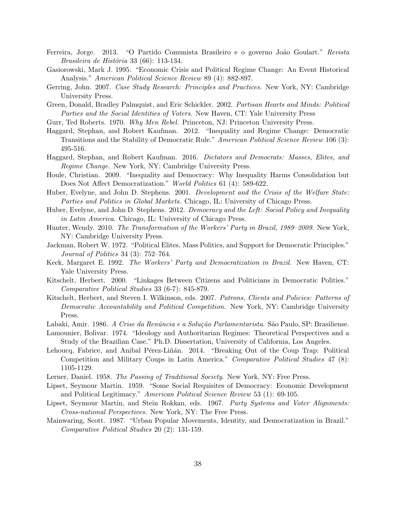- Ferreira, Jorge. 2013. "O Partido Comunista Brasileiro e o governo João Goulart." Revista Brasileira de História 33 (66): 113-134.
- Gasiorowski, Mark J. 1995. "Economic Crisis and Political Regime Change: An Event Historical Analysis." American Political Science Review 89 (4): 882-897.
- Gerring, John. 2007. Case Study Research: Principles and Practices. New York, NY: Cambridge University Press.
- Green, Donald, Bradley Palmquist, and Eric Schickler. 2002. Partisan Hearts and Minds: Political Parties and the Social Identities of Voters. New Haven, CT: Yale University Press
- Gurr, Ted Roberts. 1970. Why Men Rebel. Princeton, NJ: Princeton University Press.
- Haggard, Stephan, and Robert Kaufman. 2012. "Inequality and Regime Change: Democratic Transitions and the Stability of Democratic Rule." American Political Science Review 106 (3): 495-516.
- Haggard, Stephan, and Robert Kaufman. 2016. Dictators and Democrats: Masses, Elites, and Regime Change. New York, NY: Cambridge University Press.
- Houle, Christian. 2009. "Inequality and Democracy: Why Inequality Harms Consolidation but Does Not Affect Democratization." *World Politics* 61 (4): 589-622.
- Huber, Evelyne, and John D. Stephens. 2001. Development and the Crisis of the Welfare State: Parties and Politics in Global Markets. Chicago, IL: University of Chicago Press.
- Huber, Evelyne, and John D. Stephens. 2012. Democracy and the Left: Social Policy and Inequality in Latin America. Chicago, IL: University of Chicago Press.
- Hunter, Wendy. 2010. The Transformation of the Workers' Party in Brazil, 1989–2009. New York, NY: Cambridge University Press.
- Jackman, Robert W. 1972. "Political Elites, Mass Politics, and Support for Democratic Principles." Journal of Politics 34 (3): 752–764.
- Keck, Margaret E. 1992. The Workers' Party and Democratization in Brazil. New Haven, CT: Yale University Press.
- Kitschelt, Herbert. 2000. "Linkages Between Citizens and Politicians in Democratic Polities." Comparative Political Studies 33 (6-7): 845-879.
- Kitschelt, Herbert, and Steven I. Wilkinson, eds. 2007. Patrons, Clients and Policies: Patterns of Democratic Accountability and Political Competition. New York, NY: Cambridge University Press.
- Labaki, Amir. 1986. *A Crise da Renúncia e a Solução Parlamentarista*. São Paulo, SP: Brasiliense.
- Lamounier, Bolivar. 1974. "Ideology and Authoritarian Regimes: Theoretical Perspectives and a Study of the Brazilian Case." Ph.D. Dissertation, University of California, Los Angeles.
- Lehoucq, Fabrice, and Anibal Pérez-Liñán. 2014. "Breaking Out of the Coup Trap: Political Competition and Military Coups in Latin America." Comparative Political Studies 47 (8): 1105-1129.
- Lerner, Daniel. 1958. The Passing of Traditional Society. New York, NY: Free Press.
- Lipset, Seymour Martin. 1959. "Some Social Requisites of Democracy: Economic Development and Political Legitimacy." American Political Science Review 53 (1): 69-105.
- Lipset, Seymour Martin, and Stein Rokkan, eds. 1967. Party Systems and Voter Alignments: Cross-national Perspectives. New York, NY: The Free Press.
- Mainwaring, Scott. 1987. "Urban Popular Movements, Identity, and Democratization in Brazil." Comparative Political Studies 20 (2): 131-159.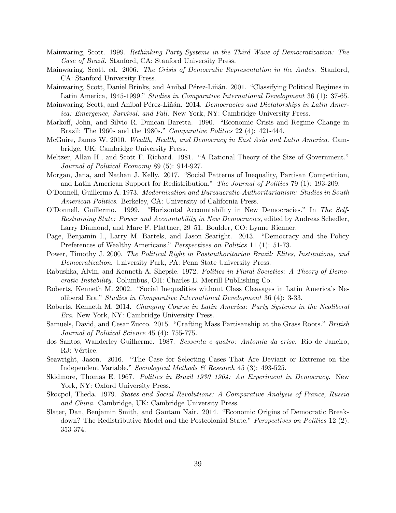- Mainwaring, Scott. 1999. Rethinking Party Systems in the Third Wave of Democratization: The Case of Brazil. Stanford, CA: Stanford University Press.
- Mainwaring, Scott, ed. 2006. The Crisis of Democratic Representation in the Andes. Stanford, CA: Stanford University Press.
- Mainwaring, Scott, Daniel Brinks, and Anibal Pérez-Liñán. 2001. "Classifying Political Regimes in Latin America, 1945-1999." Studies in Comparative International Development 36 (1): 37-65.
- Mainwaring, Scott, and Anibal Pérez-Liñán. 2014. Democracies and Dictatorships in Latin America: Emergence, Survival, and Fall. New York, NY: Cambridge University Press.
- Markoff, John, and Silvio R. Duncan Baretta. 1990. "Economic Crisis and Regime Change in Brazil: The 1960s and the 1980s." Comparative Politics 22 (4): 421-444.
- McGuire, James W. 2010. Wealth, Health, and Democracy in East Asia and Latin America. Cambridge, UK: Cambridge University Press.
- Meltzer, Allan H., and Scott F. Richard. 1981. "A Rational Theory of the Size of Government." Journal of Political Economy 89 (5): 914-927.
- Morgan, Jana, and Nathan J. Kelly. 2017. "Social Patterns of Inequality, Partisan Competition, and Latin American Support for Redistribution." The Journal of Politics 79 (1): 193-209.
- O'Donnell, Guillermo A. 1973. Modernization and Bureaucratic-Authoritarianism: Studies in South American Politics. Berkeley, CA: University of California Press.
- O'Donnell, Guillermo. 1999. "Horizontal Accountability in New Democracies." In The Self-Restraining State: Power and Accountability in New Democracies, edited by Andreas Schedler, Larry Diamond, and Marc F. Plattner, 29–51. Boulder, CO: Lynne Rienner.
- Page, Benjamin I., Larry M. Bartels, and Jason Searight. 2013. "Democracy and the Policy Preferences of Wealthy Americans." Perspectives on Politics 11 (1): 51-73.
- Power, Timothy J. 2000. The Political Right in Postauthoritarian Brazil: Elites, Institutions, and Democratization. University Park, PA: Penn State University Press.
- Rabushka, Alvin, and Kenneth A. Shepsle. 1972. Politics in Plural Societies: A Theory of Democratic Instability. Columbus, OH: Charles E. Merrill Publlishing Co.
- Roberts, Kenneth M. 2002. "Social Inequalities without Class Cleavages in Latin America's Neoliberal Era." Studies in Comparative International Development 36 (4): 3-33.
- Roberts, Kenneth M. 2014. Changing Course in Latin America: Party Systems in the Neoliberal Era. New York, NY: Cambridge University Press.
- Samuels, David, and Cesar Zucco. 2015. "Crafting Mass Partisanship at the Grass Roots." British Journal of Political Science 45 (4): 755-775.
- dos Santos, Wanderley Guilherme. 1987. Sessenta e quatro: Antomia da crise. Rio de Janeiro, RJ: Vértice.
- Seawright, Jason. 2016. "The Case for Selecting Cases That Are Deviant or Extreme on the Independent Variable." Sociological Methods & Research 45 (3): 493-525.
- Skidmore, Thomas E. 1967. Politics in Brazil 1930–1964: An Experiment in Democracy. New York, NY: Oxford University Press.
- Skocpol, Theda. 1979. States and Social Revolutions: A Comparative Analysis of France, Russia and China. Cambridge, UK: Cambridge University Press.
- Slater, Dan, Benjamin Smith, and Gautam Nair. 2014. "Economic Origins of Democratic Breakdown? The Redistributive Model and the Postcolonial State." Perspectives on Politics 12 (2): 353-374.